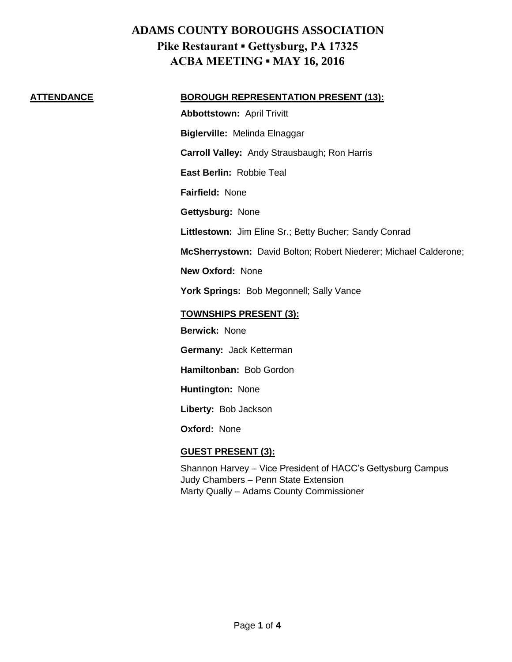### **ATTENDANCE BOROUGH REPRESENTATION PRESENT (13):**

**Abbottstown:** April Trivitt **Biglerville:** Melinda Elnaggar **Carroll Valley:** Andy Strausbaugh; Ron Harris **East Berlin:** Robbie Teal **Fairfield:** None **Gettysburg:** None **Littlestown:** Jim Eline Sr.; Betty Bucher; Sandy Conrad **McSherrystown:** David Bolton; Robert Niederer; Michael Calderone; **New Oxford:** None York Springs: Bob Megonnell; Sally Vance **TOWNSHIPS PRESENT (3): Berwick:** None

**Germany:** Jack Ketterman

**Hamiltonban:** Bob Gordon

**Huntington:** None

**Liberty:** Bob Jackson

**Oxford:** None

## **GUEST PRESENT (3):**

Shannon Harvey – Vice President of HACC's Gettysburg Campus Judy Chambers – Penn State Extension Marty Qually – Adams County Commissioner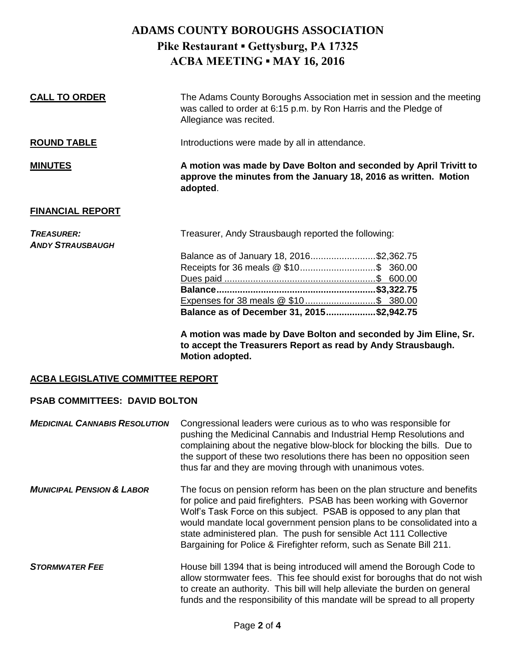| <b>CALL TO ORDER</b>                         | The Adams County Boroughs Association met in session and the meeting<br>was called to order at 6:15 p.m. by Ron Harris and the Pledge of<br>Allegiance was recited. |
|----------------------------------------------|---------------------------------------------------------------------------------------------------------------------------------------------------------------------|
| <b>ROUND TABLE</b>                           | Introductions were made by all in attendance.                                                                                                                       |
| <b>MINUTES</b>                               | A motion was made by Dave Bolton and seconded by April Trivitt to<br>approve the minutes from the January 18, 2016 as written. Motion<br>adopted.                   |
| <b>FINANCIAL REPORT</b>                      |                                                                                                                                                                     |
| <b>TREASURER:</b><br><b>ANDY STRAUSBAUGH</b> | Treasurer, Andy Strausbaugh reported the following:                                                                                                                 |
|                                              | Balance as of January 18, 2016\$2,362.75                                                                                                                            |
|                                              |                                                                                                                                                                     |
|                                              |                                                                                                                                                                     |
|                                              |                                                                                                                                                                     |
|                                              |                                                                                                                                                                     |
|                                              | Balance as of December 31, 2015\$2,942.75                                                                                                                           |
|                                              | A motion was made by Dave Bolton and seconded by Jim Eline, Sr.                                                                                                     |

**to accept the Treasurers Report as read by Andy Strausbaugh. Motion adopted.**

## **ACBA LEGISLATIVE COMMITTEE REPORT**

## **PSAB COMMITTEES: DAVID BOLTON**

| <b>MEDICINAL CANNABIS RESOLUTION</b> | Congressional leaders were curious as to who was responsible for<br>pushing the Medicinal Cannabis and Industrial Hemp Resolutions and<br>complaining about the negative blow-block for blocking the bills. Due to<br>the support of these two resolutions there has been no opposition seen<br>thus far and they are moving through with unanimous votes.                                                                                     |
|--------------------------------------|------------------------------------------------------------------------------------------------------------------------------------------------------------------------------------------------------------------------------------------------------------------------------------------------------------------------------------------------------------------------------------------------------------------------------------------------|
| <b>MUNICIPAL PENSION &amp; LABOR</b> | The focus on pension reform has been on the plan structure and benefits<br>for police and paid firefighters. PSAB has been working with Governor<br>Wolf's Task Force on this subject. PSAB is opposed to any plan that<br>would mandate local government pension plans to be consolidated into a<br>state administered plan. The push for sensible Act 111 Collective<br>Bargaining for Police & Firefighter reform, such as Senate Bill 211. |
| <b>STORMWATER FEE</b>                | House bill 1394 that is being introduced will amend the Borough Code to<br>allow stormwater fees. This fee should exist for boroughs that do not wish<br>to create an authority. This bill will help alleviate the burden on general<br>funds and the responsibility of this mandate will be spread to all property                                                                                                                            |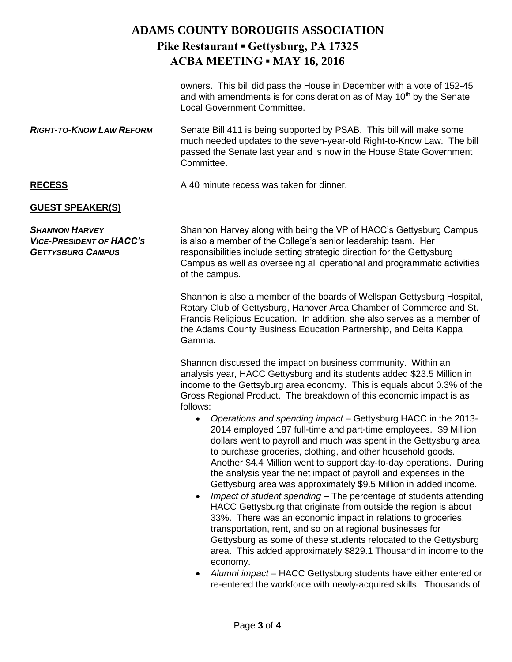owners. This bill did pass the House in December with a vote of 152-45 and with amendments is for consideration as of May  $10<sup>th</sup>$  by the Senate Local Government Committee.

*RIGHT-TO-KNOW LAW REFORM* Senate Bill 411 is being supported by PSAB. This bill will make some much needed updates to the seven-year-old Right-to-Know Law. The bill passed the Senate last year and is now in the House State Government Committee.

**RECESS A 40 minute recess was taken for dinner.** 

## **GUEST SPEAKER(S)**

**SHANNON HARVEY** Shannon Harvey along with being the VP of HACC's Gettysburg Campus *VICE-PRESIDENT OF HACC'S* is also a member of the College's senior leadership team. Her *GETTYSBURG CAMPUS* responsibilities include setting strategic direction for the Gettysburg Campus as well as overseeing all operational and programmatic activities of the campus.

> Shannon is also a member of the boards of Wellspan Gettysburg Hospital, Rotary Club of Gettysburg, Hanover Area Chamber of Commerce and St. Francis Religious Education. In addition, she also serves as a member of the Adams County Business Education Partnership, and Delta Kappa Gamma.

> Shannon discussed the impact on business community. Within an analysis year, HACC Gettysburg and its students added \$23.5 Million in income to the Gettsyburg area economy. This is equals about 0.3% of the Gross Regional Product. The breakdown of this economic impact is as follows:

- *Operations and spending impact* Gettysburg HACC in the 2013- 2014 employed 187 full-time and part-time employees. \$9 Million dollars went to payroll and much was spent in the Gettysburg area to purchase groceries, clothing, and other household goods. Another \$4.4 Million went to support day-to-day operations. During the analysis year the net impact of payroll and expenses in the Gettysburg area was approximately \$9.5 Million in added income.
- *Impact of student spending* The percentage of students attending HACC Gettysburg that originate from outside the region is about 33%. There was an economic impact in relations to groceries, transportation, rent, and so on at regional businesses for Gettysburg as some of these students relocated to the Gettysburg area. This added approximately \$829.1 Thousand in income to the economy.
- *Alumni impact* HACC Gettysburg students have either entered or re-entered the workforce with newly-acquired skills. Thousands of